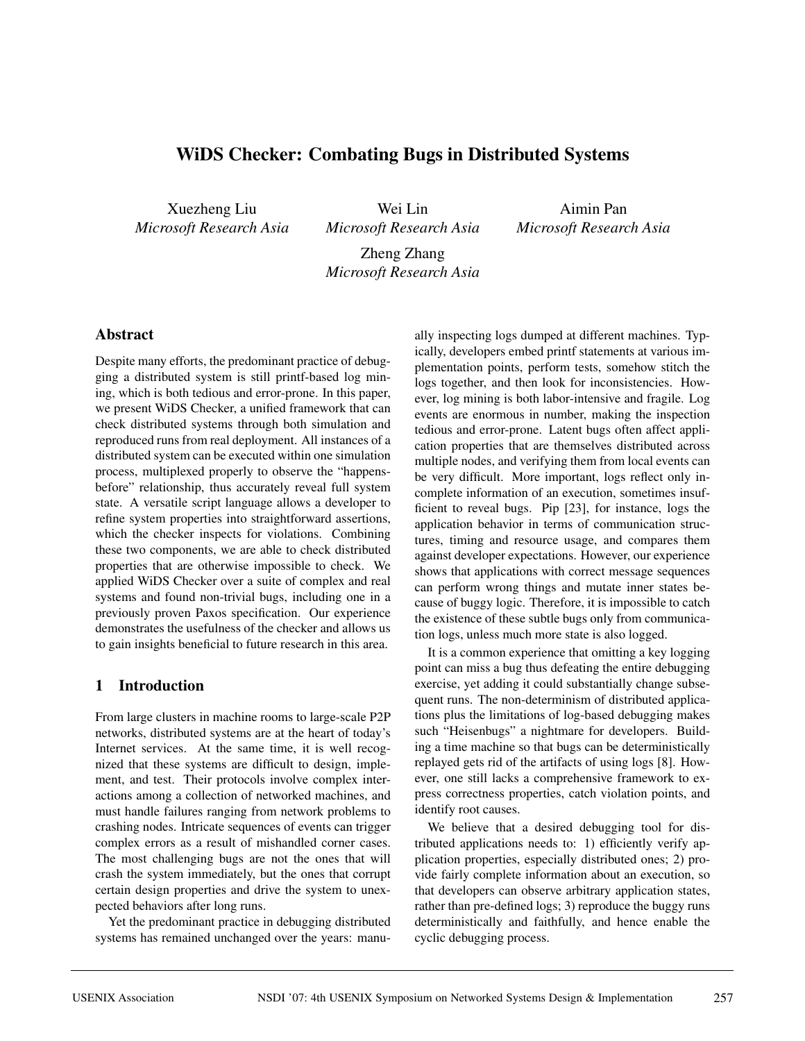# **WiDS Checker: Combating Bugs in Distributed Systems**

Xuezheng Liu *Microsoft Research Asia*

Wei Lin *Microsoft Research Asia*

Aimin Pan *Microsoft Research Asia*

Zheng Zhang *Microsoft Research Asia*

### **Abstract**

Despite many efforts, the predominant practice of debugging a distributed system is still printf-based log mining, which is both tedious and error-prone. In this paper, we present WiDS Checker, a unified framework that can check distributed systems through both simulation and reproduced runs from real deployment. All instances of a distributed system can be executed within one simulation process, multiplexed properly to observe the "happensbefore" relationship, thus accurately reveal full system state. A versatile script language allows a developer to refine system properties into straightforward assertions, which the checker inspects for violations. Combining these two components, we are able to check distributed properties that are otherwise impossible to check. We applied WiDS Checker over a suite of complex and real systems and found non-trivial bugs, including one in a previously proven Paxos specification. Our experience demonstrates the usefulness of the checker and allows us to gain insights beneficial to future research in this area.

### **1 Introduction**

From large clusters in machine rooms to large-scale P2P networks, distributed systems are at the heart of today's Internet services. At the same time, it is well recognized that these systems are difficult to design, implement, and test. Their protocols involve complex interactions among a collection of networked machines, and must handle failures ranging from network problems to crashing nodes. Intricate sequences of events can trigger complex errors as a result of mishandled corner cases. The most challenging bugs are not the ones that will crash the system immediately, but the ones that corrupt certain design properties and drive the system to unexpected behaviors after long runs.

Yet the predominant practice in debugging distributed systems has remained unchanged over the years: manually inspecting logs dumped at different machines. Typically, developers embed printf statements at various implementation points, perform tests, somehow stitch the logs together, and then look for inconsistencies. However, log mining is both labor-intensive and fragile. Log events are enormous in number, making the inspection tedious and error-prone. Latent bugs often affect application properties that are themselves distributed across multiple nodes, and verifying them from local events can be very difficult. More important, logs reflect only incomplete information of an execution, sometimes insufficient to reveal bugs. Pip [23], for instance, logs the application behavior in terms of communication structures, timing and resource usage, and compares them against developer expectations. However, our experience shows that applications with correct message sequences can perform wrong things and mutate inner states because of buggy logic. Therefore, it is impossible to catch the existence of these subtle bugs only from communication logs, unless much more state is also logged.

It is a common experience that omitting a key logging point can miss a bug thus defeating the entire debugging exercise, yet adding it could substantially change subsequent runs. The non-determinism of distributed applications plus the limitations of log-based debugging makes such "Heisenbugs" a nightmare for developers. Building a time machine so that bugs can be deterministically replayed gets rid of the artifacts of using logs [8]. However, one still lacks a comprehensive framework to express correctness properties, catch violation points, and identify root causes.

We believe that a desired debugging tool for distributed applications needs to: 1) efficiently verify application properties, especially distributed ones; 2) provide fairly complete information about an execution, so that developers can observe arbitrary application states, rather than pre-defined logs; 3) reproduce the buggy runs deterministically and faithfully, and hence enable the cyclic debugging process.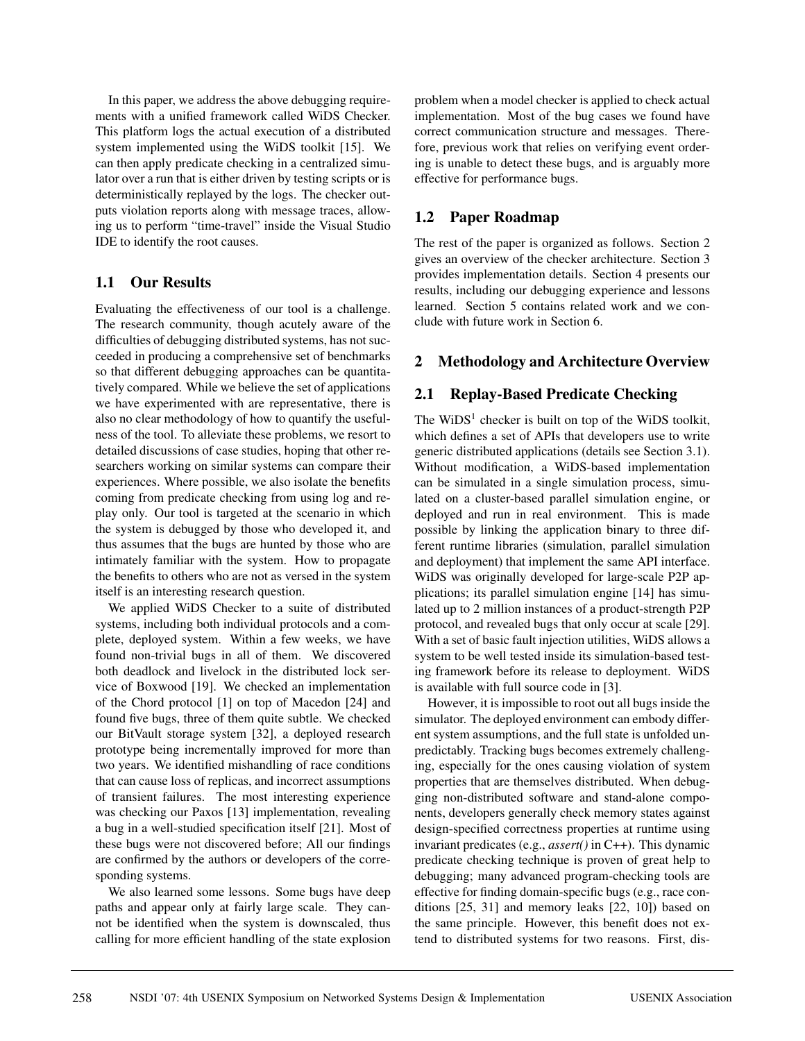In this paper, we address the above debugging requirements with a unified framework called WiDS Checker. This platform logs the actual execution of a distributed system implemented using the WiDS toolkit [15]. We can then apply predicate checking in a centralized simulator over a run that is either driven by testing scripts or is deterministically replayed by the logs. The checker outputs violation reports along with message traces, allowing us to perform "time-travel" inside the Visual Studio IDE to identify the root causes.

## **1.1 Our Results**

Evaluating the effectiveness of our tool is a challenge. The research community, though acutely aware of the difficulties of debugging distributed systems, has not succeeded in producing a comprehensive set of benchmarks so that different debugging approaches can be quantitatively compared. While we believe the set of applications we have experimented with are representative, there is also no clear methodology of how to quantify the usefulness of the tool. To alleviate these problems, we resort to detailed discussions of case studies, hoping that other researchers working on similar systems can compare their experiences. Where possible, we also isolate the benefits coming from predicate checking from using log and replay only. Our tool is targeted at the scenario in which the system is debugged by those who developed it, and thus assumes that the bugs are hunted by those who are intimately familiar with the system. How to propagate the benefits to others who are not as versed in the system itself is an interesting research question.

We applied WiDS Checker to a suite of distributed systems, including both individual protocols and a complete, deployed system. Within a few weeks, we have found non-trivial bugs in all of them. We discovered both deadlock and livelock in the distributed lock service of Boxwood [19]. We checked an implementation of the Chord protocol [1] on top of Macedon [24] and found five bugs, three of them quite subtle. We checked our BitVault storage system [32], a deployed research prototype being incrementally improved for more than two years. We identified mishandling of race conditions that can cause loss of replicas, and incorrect assumptions of transient failures. The most interesting experience was checking our Paxos [13] implementation, revealing a bug in a well-studied specification itself [21]. Most of these bugs were not discovered before; All our findings are confirmed by the authors or developers of the corresponding systems.

We also learned some lessons. Some bugs have deep paths and appear only at fairly large scale. They cannot be identified when the system is downscaled, thus calling for more efficient handling of the state explosion

problem when a model checker is applied to check actual implementation. Most of the bug cases we found have correct communication structure and messages. Therefore, previous work that relies on verifying event ordering is unable to detect these bugs, and is arguably more effective for performance bugs.

## **1.2 Paper Roadmap**

The rest of the paper is organized as follows. Section 2 gives an overview of the checker architecture. Section 3 provides implementation details. Section 4 presents our results, including our debugging experience and lessons learned. Section 5 contains related work and we conclude with future work in Section 6.

## **2 Methodology and Architecture Overview**

## **2.1 Replay-Based Predicate Checking**

The  $W<sup>1</sup>$  checker is built on top of the WiDS toolkit, which defines a set of APIs that developers use to write generic distributed applications (details see Section 3.1). Without modification, a WiDS-based implementation can be simulated in a single simulation process, simulated on a cluster-based parallel simulation engine, or deployed and run in real environment. This is made possible by linking the application binary to three different runtime libraries (simulation, parallel simulation and deployment) that implement the same API interface. WiDS was originally developed for large-scale P2P applications; its parallel simulation engine [14] has simulated up to 2 million instances of a product-strength P2P protocol, and revealed bugs that only occur at scale [29]. With a set of basic fault injection utilities, WiDS allows a system to be well tested inside its simulation-based testing framework before its release to deployment. WiDS is available with full source code in [3].

However, it is impossible to root out all bugs inside the simulator. The deployed environment can embody different system assumptions, and the full state is unfolded unpredictably. Tracking bugs becomes extremely challenging, especially for the ones causing violation of system properties that are themselves distributed. When debugging non-distributed software and stand-alone components, developers generally check memory states against design-specified correctness properties at runtime using invariant predicates (e.g., *assert()* in C++). This dynamic predicate checking technique is proven of great help to debugging; many advanced program-checking tools are effective for finding domain-specific bugs (e.g., race conditions [25, 31] and memory leaks [22, 10]) based on the same principle. However, this benefit does not extend to distributed systems for two reasons. First, dis-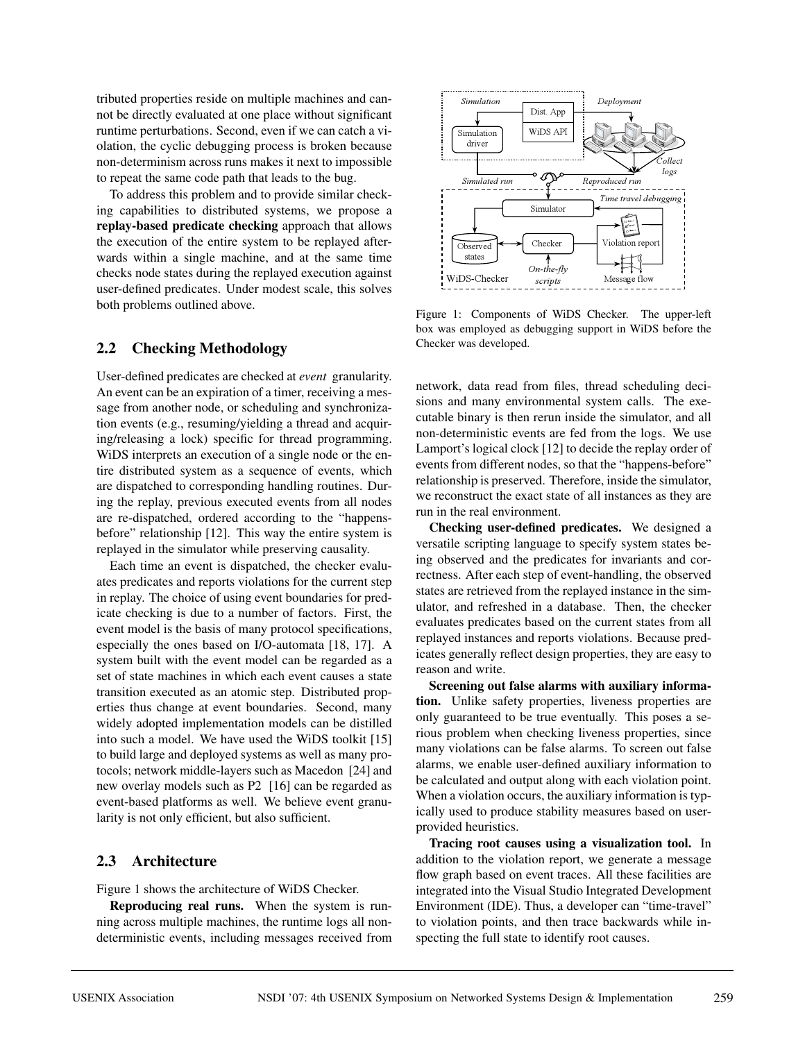tributed properties reside on multiple machines and cannot be directly evaluated at one place without significant runtime perturbations. Second, even if we can catch a violation, the cyclic debugging process is broken because non-determinism across runs makes it next to impossible to repeat the same code path that leads to the bug.

To address this problem and to provide similar checking capabilities to distributed systems, we propose a **replay-based predicate checking** approach that allows the execution of the entire system to be replayed afterwards within a single machine, and at the same time checks node states during the replayed execution against user-defined predicates. Under modest scale, this solves both problems outlined above.

### **2.2 Checking Methodology**

User-defined predicates are checked at *event* granularity. An event can be an expiration of a timer, receiving a message from another node, or scheduling and synchronization events (e.g., resuming/yielding a thread and acquiring/releasing a lock) specific for thread programming. WiDS interprets an execution of a single node or the entire distributed system as a sequence of events, which are dispatched to corresponding handling routines. During the replay, previous executed events from all nodes are re-dispatched, ordered according to the "happensbefore" relationship [12]. This way the entire system is replayed in the simulator while preserving causality.

Each time an event is dispatched, the checker evaluates predicates and reports violations for the current step in replay. The choice of using event boundaries for predicate checking is due to a number of factors. First, the event model is the basis of many protocol specifications, especially the ones based on I/O-automata [18, 17]. A system built with the event model can be regarded as a set of state machines in which each event causes a state transition executed as an atomic step. Distributed properties thus change at event boundaries. Second, many widely adopted implementation models can be distilled into such a model. We have used the WiDS toolkit [15] to build large and deployed systems as well as many protocols; network middle-layers such as Macedon [24] and new overlay models such as P2 [16] can be regarded as event-based platforms as well. We believe event granularity is not only efficient, but also sufficient.

### **2.3 Architecture**

Figure 1 shows the architecture of WiDS Checker.

**Reproducing real runs.** When the system is running across multiple machines, the runtime logs all nondeterministic events, including messages received from



Figure 1: Components of WiDS Checker. The upper-left box was employed as debugging support in WiDS before the Checker was developed.

network, data read from files, thread scheduling decisions and many environmental system calls. The executable binary is then rerun inside the simulator, and all non-deterministic events are fed from the logs. We use Lamport's logical clock [12] to decide the replay order of events from different nodes, so that the "happens-before" relationship is preserved. Therefore, inside the simulator, we reconstruct the exact state of all instances as they are run in the real environment.

**Checking user-defined predicates.** We designed a versatile scripting language to specify system states being observed and the predicates for invariants and correctness. After each step of event-handling, the observed states are retrieved from the replayed instance in the simulator, and refreshed in a database. Then, the checker evaluates predicates based on the current states from all replayed instances and reports violations. Because predicates generally reflect design properties, they are easy to reason and write.

**Screening out false alarms with auxiliary information.** Unlike safety properties, liveness properties are only guaranteed to be true eventually. This poses a serious problem when checking liveness properties, since many violations can be false alarms. To screen out false alarms, we enable user-defined auxiliary information to be calculated and output along with each violation point. When a violation occurs, the auxiliary information is typically used to produce stability measures based on userprovided heuristics.

**Tracing root causes using a visualization tool.** In addition to the violation report, we generate a message flow graph based on event traces. All these facilities are integrated into the Visual Studio Integrated Development Environment (IDE). Thus, a developer can "time-travel" to violation points, and then trace backwards while inspecting the full state to identify root causes.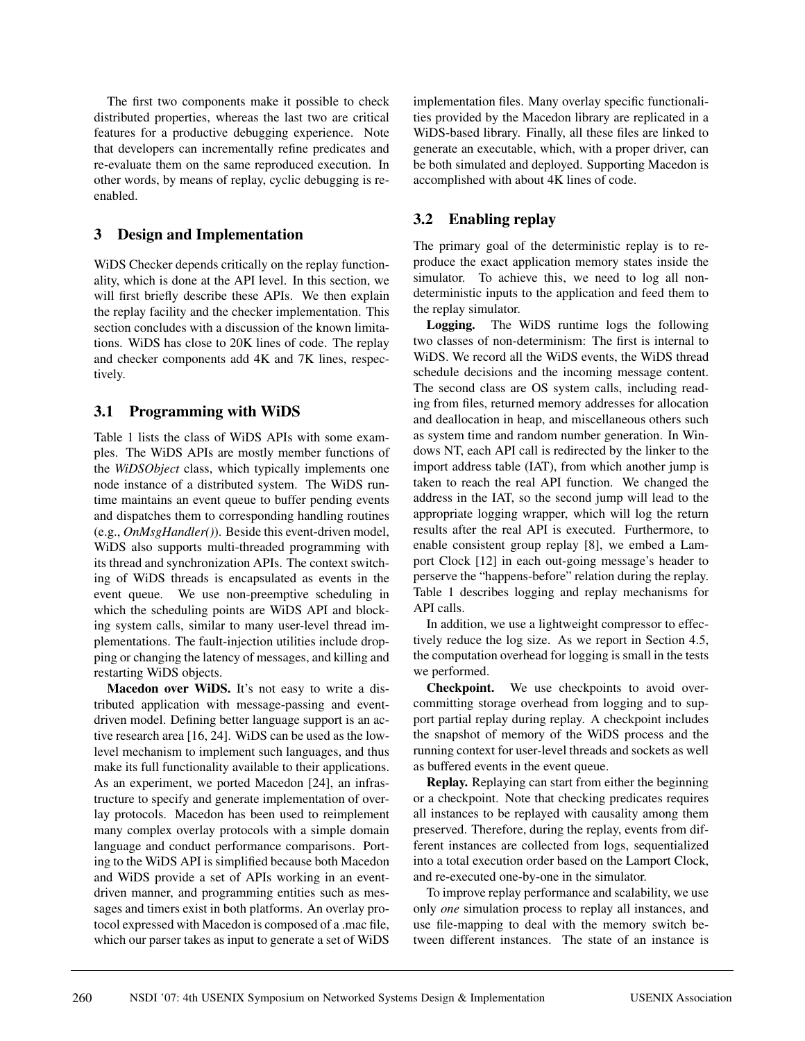The first two components make it possible to check distributed properties, whereas the last two are critical features for a productive debugging experience. Note that developers can incrementally refine predicates and re-evaluate them on the same reproduced execution. In other words, by means of replay, cyclic debugging is reenabled.

### **3 Design and Implementation**

WiDS Checker depends critically on the replay functionality, which is done at the API level. In this section, we will first briefly describe these APIs. We then explain the replay facility and the checker implementation. This section concludes with a discussion of the known limitations. WiDS has close to 20K lines of code. The replay and checker components add 4K and 7K lines, respectively.

## **3.1 Programming with WiDS**

Table 1 lists the class of WiDS APIs with some examples. The WiDS APIs are mostly member functions of the *WiDSObject* class, which typically implements one node instance of a distributed system. The WiDS runtime maintains an event queue to buffer pending events and dispatches them to corresponding handling routines (e.g., *OnMsgHandler()*). Beside this event-driven model, WiDS also supports multi-threaded programming with its thread and synchronization APIs. The context switching of WiDS threads is encapsulated as events in the event queue. We use non-preemptive scheduling in which the scheduling points are WiDS API and blocking system calls, similar to many user-level thread implementations. The fault-injection utilities include dropping or changing the latency of messages, and killing and restarting WiDS objects.

**Macedon over WiDS.** It's not easy to write a distributed application with message-passing and eventdriven model. Defining better language support is an active research area [16, 24]. WiDS can be used as the lowlevel mechanism to implement such languages, and thus make its full functionality available to their applications. As an experiment, we ported Macedon [24], an infrastructure to specify and generate implementation of overlay protocols. Macedon has been used to reimplement many complex overlay protocols with a simple domain language and conduct performance comparisons. Porting to the WiDS API is simplified because both Macedon and WiDS provide a set of APIs working in an eventdriven manner, and programming entities such as messages and timers exist in both platforms. An overlay protocol expressed with Macedon is composed of a .mac file, which our parser takes as input to generate a set of WiDS

implementation files. Many overlay specific functionalities provided by the Macedon library are replicated in a WiDS-based library. Finally, all these files are linked to generate an executable, which, with a proper driver, can be both simulated and deployed. Supporting Macedon is accomplished with about 4K lines of code.

### **3.2 Enabling replay**

The primary goal of the deterministic replay is to reproduce the exact application memory states inside the simulator. To achieve this, we need to log all nondeterministic inputs to the application and feed them to the replay simulator.

**Logging.** The WiDS runtime logs the following two classes of non-determinism: The first is internal to WiDS. We record all the WiDS events, the WiDS thread schedule decisions and the incoming message content. The second class are OS system calls, including reading from files, returned memory addresses for allocation and deallocation in heap, and miscellaneous others such as system time and random number generation. In Windows NT, each API call is redirected by the linker to the import address table (IAT), from which another jump is taken to reach the real API function. We changed the address in the IAT, so the second jump will lead to the appropriate logging wrapper, which will log the return results after the real API is executed. Furthermore, to enable consistent group replay [8], we embed a Lamport Clock [12] in each out-going message's header to perserve the "happens-before" relation during the replay. Table 1 describes logging and replay mechanisms for API calls.

In addition, we use a lightweight compressor to effectively reduce the log size. As we report in Section 4.5, the computation overhead for logging is small in the tests we performed.

**Checkpoint.** We use checkpoints to avoid overcommitting storage overhead from logging and to support partial replay during replay. A checkpoint includes the snapshot of memory of the WiDS process and the running context for user-level threads and sockets as well as buffered events in the event queue.

**Replay.** Replaying can start from either the beginning or a checkpoint. Note that checking predicates requires all instances to be replayed with causality among them preserved. Therefore, during the replay, events from different instances are collected from logs, sequentialized into a total execution order based on the Lamport Clock, and re-executed one-by-one in the simulator.

To improve replay performance and scalability, we use only *one* simulation process to replay all instances, and use file-mapping to deal with the memory switch between different instances. The state of an instance is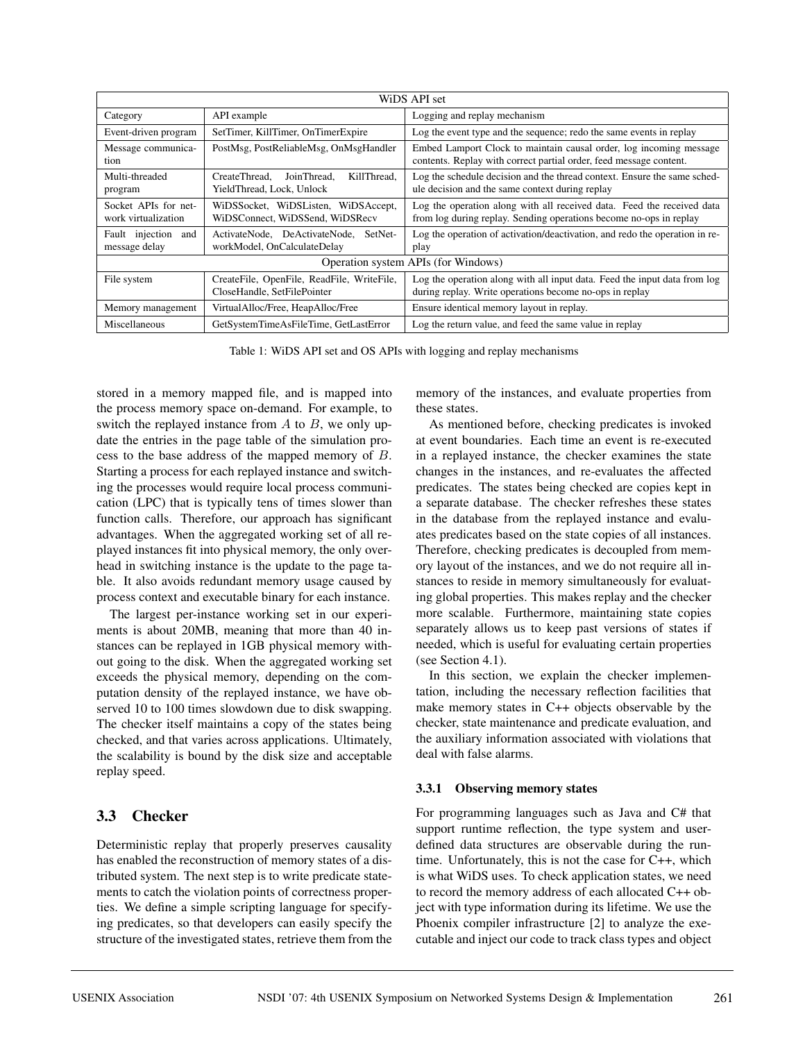| WiDS API set                                |                                                                           |                                                                                                                                              |  |  |  |
|---------------------------------------------|---------------------------------------------------------------------------|----------------------------------------------------------------------------------------------------------------------------------------------|--|--|--|
| Category                                    | API example                                                               | Logging and replay mechanism                                                                                                                 |  |  |  |
| Event-driven program                        | SetTimer, KillTimer, OnTimerExpire                                        | Log the event type and the sequence; redo the same events in replay                                                                          |  |  |  |
| Message communica-<br>tion                  | PostMsg, PostReliableMsg, OnMsgHandler                                    | Embed Lamport Clock to maintain causal order, log incoming message<br>contents. Replay with correct partial order, feed message content.     |  |  |  |
| Multi-threaded<br>program                   | KillThread.<br>CreateThread.<br>JoinThread.<br>YieldThread, Lock, Unlock  | Log the schedule decision and the thread context. Ensure the same sched-<br>ule decision and the same context during replay                  |  |  |  |
| Socket APIs for net-<br>work virtualization | WiDSSocket, WiDSListen, WiDSAccept,<br>WiDSConnect, WiDSSend, WiDSRecv    | Log the operation along with all received data. Feed the received data<br>from log during replay. Sending operations become no-ops in replay |  |  |  |
| Fault injection<br>and<br>message delay     | ActivateNode. DeActivateNode.<br>SetNet-<br>workModel, OnCalculateDelay   | Log the operation of activation/deactivation, and redo the operation in re-<br>play                                                          |  |  |  |
| Operation system APIs (for Windows)         |                                                                           |                                                                                                                                              |  |  |  |
| File system                                 | CreateFile, OpenFile, ReadFile, WriteFile,<br>CloseHandle, SetFilePointer | Log the operation along with all input data. Feed the input data from log<br>during replay. Write operations become no-ops in replay         |  |  |  |
| Memory management                           | VirtualAlloc/Free, HeapAlloc/Free                                         | Ensure identical memory layout in replay.                                                                                                    |  |  |  |
| Miscellaneous                               | GetSystemTimeAsFileTime, GetLastError                                     | Log the return value, and feed the same value in replay                                                                                      |  |  |  |

Table 1: WiDS API set and OS APIs with logging and replay mechanisms

stored in a memory mapped file, and is mapped into the process memory space on-demand. For example, to switch the replayed instance from  $A$  to  $B$ , we only update the entries in the page table of the simulation process to the base address of the mapped memory of B. Starting a process for each replayed instance and switching the processes would require local process communication (LPC) that is typically tens of times slower than function calls. Therefore, our approach has significant advantages. When the aggregated working set of all replayed instances fit into physical memory, the only overhead in switching instance is the update to the page table. It also avoids redundant memory usage caused by process context and executable binary for each instance.

The largest per-instance working set in our experiments is about 20MB, meaning that more than 40 instances can be replayed in 1GB physical memory without going to the disk. When the aggregated working set exceeds the physical memory, depending on the computation density of the replayed instance, we have observed 10 to 100 times slowdown due to disk swapping. The checker itself maintains a copy of the states being checked, and that varies across applications. Ultimately, the scalability is bound by the disk size and acceptable replay speed.

## **3.3 Checker**

Deterministic replay that properly preserves causality has enabled the reconstruction of memory states of a distributed system. The next step is to write predicate statements to catch the violation points of correctness properties. We define a simple scripting language for specifying predicates, so that developers can easily specify the structure of the investigated states, retrieve them from the memory of the instances, and evaluate properties from these states.

As mentioned before, checking predicates is invoked at event boundaries. Each time an event is re-executed in a replayed instance, the checker examines the state changes in the instances, and re-evaluates the affected predicates. The states being checked are copies kept in a separate database. The checker refreshes these states in the database from the replayed instance and evaluates predicates based on the state copies of all instances. Therefore, checking predicates is decoupled from memory layout of the instances, and we do not require all instances to reside in memory simultaneously for evaluating global properties. This makes replay and the checker more scalable. Furthermore, maintaining state copies separately allows us to keep past versions of states if needed, which is useful for evaluating certain properties (see Section 4.1).

In this section, we explain the checker implementation, including the necessary reflection facilities that make memory states in C++ objects observable by the checker, state maintenance and predicate evaluation, and the auxiliary information associated with violations that deal with false alarms.

### **3.3.1 Observing memory states**

For programming languages such as Java and C# that support runtime reflection, the type system and userdefined data structures are observable during the runtime. Unfortunately, this is not the case for C++, which is what WiDS uses. To check application states, we need to record the memory address of each allocated C++ object with type information during its lifetime. We use the Phoenix compiler infrastructure [2] to analyze the executable and inject our code to track class types and object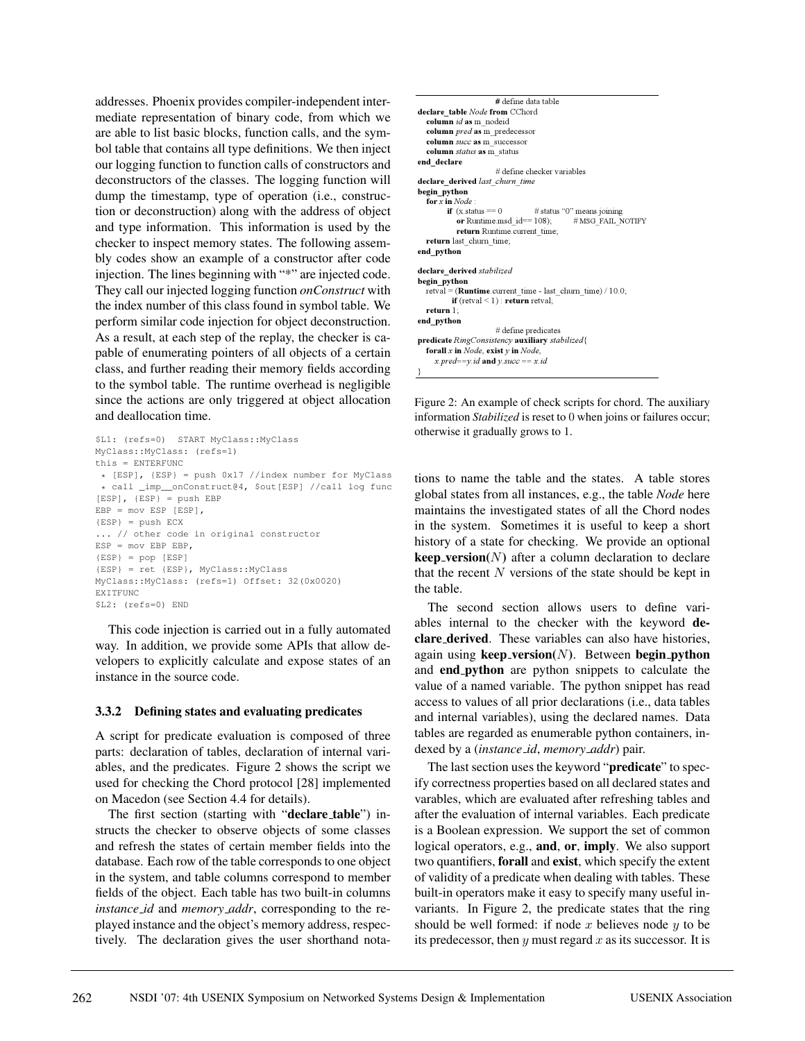addresses. Phoenix provides compiler-independent intermediate representation of binary code, from which we are able to list basic blocks, function calls, and the symbol table that contains all type definitions. We then inject our logging function to function calls of constructors and deconstructors of the classes. The logging function will dump the timestamp, type of operation (i.e., construction or deconstruction) along with the address of object and type information. This information is used by the checker to inspect memory states. The following assembly codes show an example of a constructor after code injection. The lines beginning with "\*" are injected code. They call our injected logging function *onConstruct* with the index number of this class found in symbol table. We perform similar code injection for object deconstruction. As a result, at each step of the replay, the checker is capable of enumerating pointers of all objects of a certain class, and further reading their memory fields according to the symbol table. The runtime overhead is negligible since the actions are only triggered at object allocation and deallocation time.

```
$L1: (refs=0) START MyClass::MyClass
MyClass::MyClass: (refs=1)
this = ENTERFUNC
* [ESP], {ESP} = push 0x17 //index number for MyClass
 * call _imp__onConstruct@4, $out[ESP] //call log func
[ESP], {ESP} = push EBP
EBP = mov ESP [ESP],
{ESP} = push ECX
... // other code in original constructor
ESP = mov EBP EBP,
{ESP} = pop [ESP]
{ESP} = ret {ESP}, MyClass::MyClass
MyClass::MyClass: (refs=1) Offset: 32(0x0020)
EXTTFUNC
$L2: (refs=0) END
```
This code injection is carried out in a fully automated way. In addition, we provide some APIs that allow developers to explicitly calculate and expose states of an instance in the source code.

### **3.3.2 Defining states and evaluating predicates**

A script for predicate evaluation is composed of three parts: declaration of tables, declaration of internal variables, and the predicates. Figure 2 shows the script we used for checking the Chord protocol [28] implemented on Macedon (see Section 4.4 for details).

The first section (starting with "**declare table**") instructs the checker to observe objects of some classes and refresh the states of certain member fields into the database. Each row of the table corresponds to one object in the system, and table columns correspond to member fields of the object. Each table has two built-in columns *instance id* and *memory addr*, corresponding to the replayed instance and the object's memory address, respectively. The declaration gives the user shorthand nota-

| # define data table                                                  |  |  |  |  |  |
|----------------------------------------------------------------------|--|--|--|--|--|
| declare table Node from CChord                                       |  |  |  |  |  |
| column id as m nodeid                                                |  |  |  |  |  |
| column <i>pred</i> as m predecessor                                  |  |  |  |  |  |
| column succ as m successor                                           |  |  |  |  |  |
| column <i>status</i> as m status                                     |  |  |  |  |  |
| end declare                                                          |  |  |  |  |  |
| # define checker variables                                           |  |  |  |  |  |
| declare derived last churn time                                      |  |  |  |  |  |
| begin python                                                         |  |  |  |  |  |
| for $x$ in $Node$ :                                                  |  |  |  |  |  |
| $#$ status "0" means joining<br><b>if</b> $(x_{\text{.}status} == 0$ |  |  |  |  |  |
| or Runtime msd $id == 108$ ; # MSG FAIL NOTIFY                       |  |  |  |  |  |
| return Runtime.current time;                                         |  |  |  |  |  |
| return last churn time;                                              |  |  |  |  |  |
| end python                                                           |  |  |  |  |  |
|                                                                      |  |  |  |  |  |
| declare derived stabilized                                           |  |  |  |  |  |
| begin python                                                         |  |  |  |  |  |
| retval = ( <b>Runtime</b> current time - last churn time) $/10.0$ ;  |  |  |  |  |  |
| <b>if</b> (retval $\leq$ 1) : <b>return</b> retval;                  |  |  |  |  |  |
| return $1$ ;                                                         |  |  |  |  |  |
| end python                                                           |  |  |  |  |  |
| # define predicates                                                  |  |  |  |  |  |
| predicate RingConsistency auxiliary stabilized{                      |  |  |  |  |  |
| <b>forall</b> x in Node, exist $y$ in Node,                          |  |  |  |  |  |
| x.pred==y.id and y.succ == x.id                                      |  |  |  |  |  |
| }                                                                    |  |  |  |  |  |

Figure 2: An example of check scripts for chord. The auxiliary information *Stabilized* is reset to 0 when joins or failures occur; otherwise it gradually grows to 1.

tions to name the table and the states. A table stores global states from all instances, e.g., the table *Node* here maintains the investigated states of all the Chord nodes in the system. Sometimes it is useful to keep a short history of a state for checking. We provide an optional **keep\_version(** $N$ **)** after a column declaration to declare that the recent  $N$  versions of the state should be kept in the table.

The second section allows users to define variables internal to the checker with the keyword **declare derived**. These variables can also have histories, again using **keep version(**N**)**. Between **begin python** and **end python** are python snippets to calculate the value of a named variable. The python snippet has read access to values of all prior declarations (i.e., data tables and internal variables), using the declared names. Data tables are regarded as enumerable python containers, indexed by a (*instance id*, *memory addr*) pair.

The last section uses the keyword "**predicate**" to specify correctness properties based on all declared states and varables, which are evaluated after refreshing tables and after the evaluation of internal variables. Each predicate is a Boolean expression. We support the set of common logical operators, e.g., **and**, **or**, **imply**. We also support two quantifiers, **forall** and **exist**, which specify the extent of validity of a predicate when dealing with tables. These built-in operators make it easy to specify many useful invariants. In Figure 2, the predicate states that the ring should be well formed: if node  $x$  believes node  $y$  to be its predecessor, then  $y$  must regard  $x$  as its successor. It is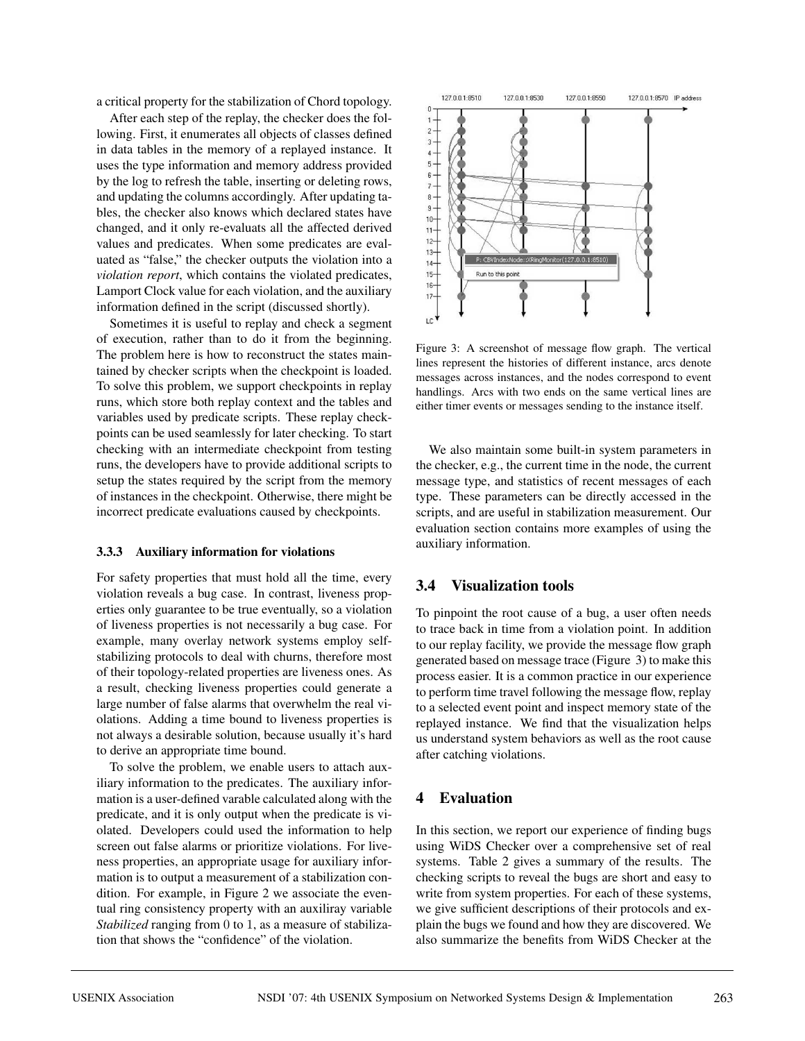a critical property for the stabilization of Chord topology.

After each step of the replay, the checker does the following. First, it enumerates all objects of classes defined in data tables in the memory of a replayed instance. It uses the type information and memory address provided by the log to refresh the table, inserting or deleting rows, and updating the columns accordingly. After updating tables, the checker also knows which declared states have changed, and it only re-evaluats all the affected derived values and predicates. When some predicates are evaluated as "false," the checker outputs the violation into a *violation report*, which contains the violated predicates, Lamport Clock value for each violation, and the auxiliary information defined in the script (discussed shortly).

Sometimes it is useful to replay and check a segment of execution, rather than to do it from the beginning. The problem here is how to reconstruct the states maintained by checker scripts when the checkpoint is loaded. To solve this problem, we support checkpoints in replay runs, which store both replay context and the tables and variables used by predicate scripts. These replay checkpoints can be used seamlessly for later checking. To start checking with an intermediate checkpoint from testing runs, the developers have to provide additional scripts to setup the states required by the script from the memory of instances in the checkpoint. Otherwise, there might be incorrect predicate evaluations caused by checkpoints.

#### **3.3.3 Auxiliary information for violations**

For safety properties that must hold all the time, every violation reveals a bug case. In contrast, liveness properties only guarantee to be true eventually, so a violation of liveness properties is not necessarily a bug case. For example, many overlay network systems employ selfstabilizing protocols to deal with churns, therefore most of their topology-related properties are liveness ones. As a result, checking liveness properties could generate a large number of false alarms that overwhelm the real violations. Adding a time bound to liveness properties is not always a desirable solution, because usually it's hard to derive an appropriate time bound.

To solve the problem, we enable users to attach auxiliary information to the predicates. The auxiliary information is a user-defined varable calculated along with the predicate, and it is only output when the predicate is violated. Developers could used the information to help screen out false alarms or prioritize violations. For liveness properties, an appropriate usage for auxiliary information is to output a measurement of a stabilization condition. For example, in Figure 2 we associate the eventual ring consistency property with an auxiliray variable *Stabilized* ranging from 0 to 1, as a measure of stabilization that shows the "confidence" of the violation.



Figure 3: A screenshot of message flow graph. The vertical lines represent the histories of different instance, arcs denote messages across instances, and the nodes correspond to event handlings. Arcs with two ends on the same vertical lines are either timer events or messages sending to the instance itself.

We also maintain some built-in system parameters in the checker, e.g., the current time in the node, the current message type, and statistics of recent messages of each type. These parameters can be directly accessed in the scripts, and are useful in stabilization measurement. Our evaluation section contains more examples of using the auxiliary information.

### **3.4 Visualization tools**

To pinpoint the root cause of a bug, a user often needs to trace back in time from a violation point. In addition to our replay facility, we provide the message flow graph generated based on message trace (Figure 3) to make this process easier. It is a common practice in our experience to perform time travel following the message flow, replay to a selected event point and inspect memory state of the replayed instance. We find that the visualization helps us understand system behaviors as well as the root cause after catching violations.

### **4 Evaluation**

In this section, we report our experience of finding bugs using WiDS Checker over a comprehensive set of real systems. Table 2 gives a summary of the results. The checking scripts to reveal the bugs are short and easy to write from system properties. For each of these systems, we give sufficient descriptions of their protocols and explain the bugs we found and how they are discovered. We also summarize the benefits from WiDS Checker at the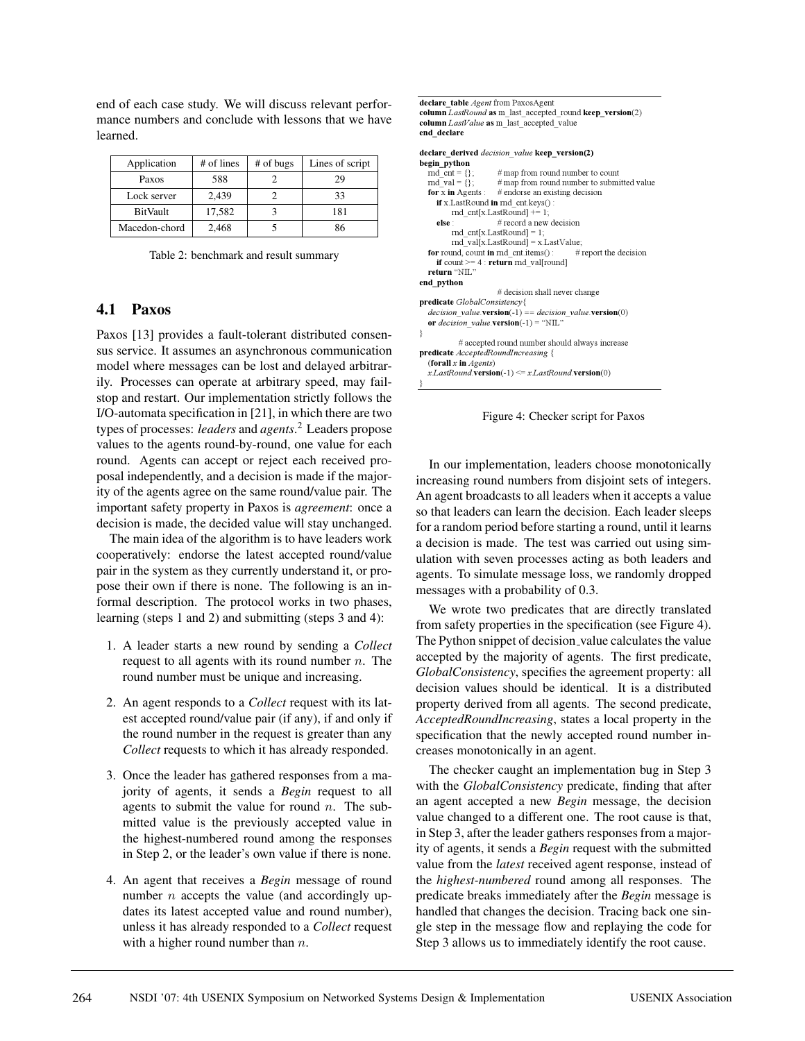end of each case study. We will discuss relevant performance numbers and conclude with lessons that we have learned.

| Application     | # of lines | # of bugs | Lines of script |
|-----------------|------------|-----------|-----------------|
| Paxos           | 588        |           | 29              |
| Lock server     | 2,439      |           | 33              |
| <b>BitVault</b> | 17,582     |           | 181             |
| Macedon-chord   | 2,468      |           | 86              |

Table 2: benchmark and result summary

### **4.1 Paxos**

Paxos [13] provides a fault-tolerant distributed consensus service. It assumes an asynchronous communication model where messages can be lost and delayed arbitrarily. Processes can operate at arbitrary speed, may failstop and restart. Our implementation strictly follows the I/O-automata specification in [21], in which there are two types of processes: *leaders* and *agents*. <sup>2</sup> Leaders propose values to the agents round-by-round, one value for each round. Agents can accept or reject each received proposal independently, and a decision is made if the majority of the agents agree on the same round/value pair. The important safety property in Paxos is *agreement*: once a decision is made, the decided value will stay unchanged.

The main idea of the algorithm is to have leaders work cooperatively: endorse the latest accepted round/value pair in the system as they currently understand it, or propose their own if there is none. The following is an informal description. The protocol works in two phases, learning (steps 1 and 2) and submitting (steps 3 and 4):

- 1. A leader starts a new round by sending a *Collect* request to all agents with its round number  $n$ . The round number must be unique and increasing.
- 2. An agent responds to a *Collect* request with its latest accepted round/value pair (if any), if and only if the round number in the request is greater than any *Collect* requests to which it has already responded.
- 3. Once the leader has gathered responses from a majority of agents, it sends a *Begin* request to all agents to submit the value for round  $n$ . The submitted value is the previously accepted value in the highest-numbered round among the responses in Step 2, or the leader's own value if there is none.
- 4. An agent that receives a *Begin* message of round number  $n$  accepts the value (and accordingly updates its latest accepted value and round number), unless it has already responded to a *Collect* request with a higher round number than  $n$ .

```
declare_table Agent from PaxosAgent
column LastRound as m_last_accepted_round keep_version(2)
column LastValue as m_last_accepted_value
end_declare
declare_derived decision value keep_version(2)
begin_python
  md cnt = {}:
                        # map from round number to count
  \overline{\text{md} \text{ val}} = \overline{\{\}}# map from round number to submitted value
   for x in Agents \colon # endorse an existing decision
     if x.LastRound in rnd cnt.keys()
         md cnt[x.LastRound] += 1;
      else
                       # record a new decision
         rnd_cnt[x.LastRound] = 1;
          \text{md}\_ \text{val}[x\text{.LastRound}] = x\text{.LastValue};<br>and, count in rnd_cnt.items(): # report the decision
  for round, count in rnd_cnt.items():
      if count >= 4: return md val[round]
   return "NL"
end_python
                        # decision shall never change
predicate GlobalConsistency{
   decision value.version(-1) == decision value.version(0)
   or decision\_value.\textbf{version}(-1) = "NIL"ł
            # accepted round number should always increase
predicate AcceptedRoundIncreasing {
   (forall x in Agents)
   xLastRound \textbf{version}(-1) \leq xLastRound \textbf{version}(0)ł
```
Figure 4: Checker script for Paxos

In our implementation, leaders choose monotonically increasing round numbers from disjoint sets of integers. An agent broadcasts to all leaders when it accepts a value so that leaders can learn the decision. Each leader sleeps for a random period before starting a round, until it learns a decision is made. The test was carried out using simulation with seven processes acting as both leaders and agents. To simulate message loss, we randomly dropped messages with a probability of 0.3.

We wrote two predicates that are directly translated from safety properties in the specification (see Figure 4). The Python snippet of decision\_value calculates the value accepted by the majority of agents. The first predicate, *GlobalConsistency*, specifies the agreement property: all decision values should be identical. It is a distributed property derived from all agents. The second predicate, *AcceptedRoundIncreasing*, states a local property in the specification that the newly accepted round number increases monotonically in an agent.

The checker caught an implementation bug in Step 3 with the *GlobalConsistency* predicate, finding that after an agent accepted a new *Begin* message, the decision value changed to a different one. The root cause is that, in Step 3, after the leader gathers responses from a majority of agents, it sends a *Begin* request with the submitted value from the *latest* received agent response, instead of the *highest-numbered* round among all responses. The predicate breaks immediately after the *Begin* message is handled that changes the decision. Tracing back one single step in the message flow and replaying the code for Step 3 allows us to immediately identify the root cause.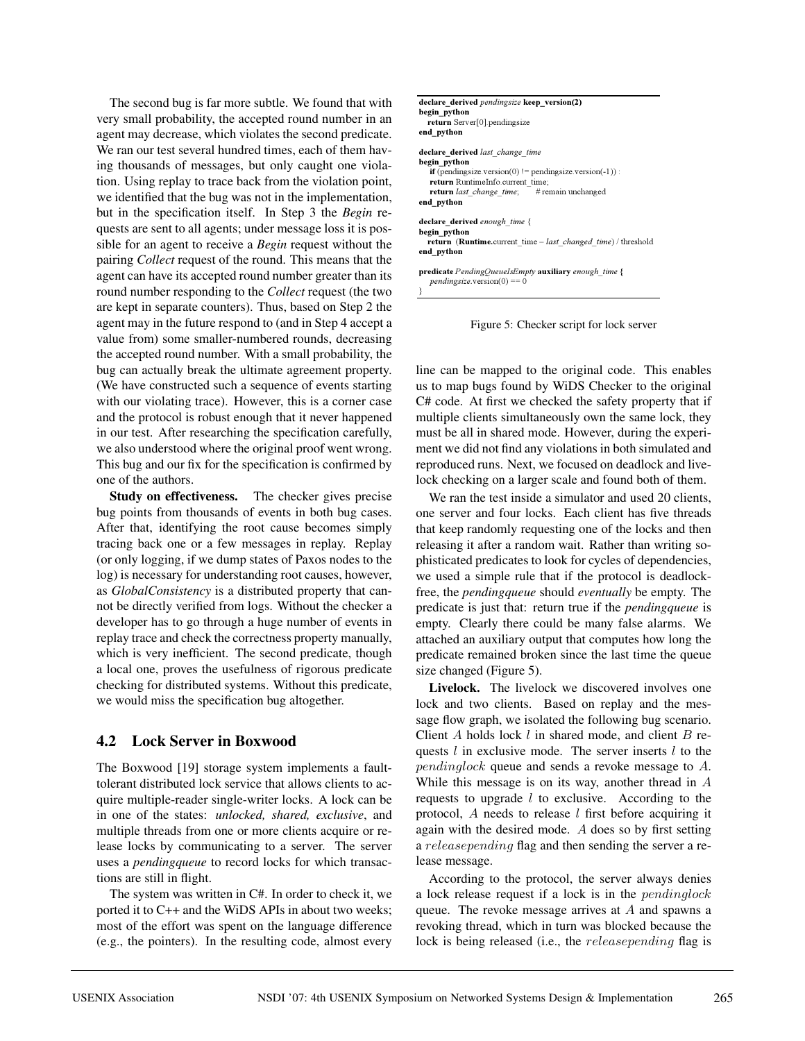The second bug is far more subtle. We found that with very small probability, the accepted round number in an agent may decrease, which violates the second predicate. We ran our test several hundred times, each of them having thousands of messages, but only caught one violation. Using replay to trace back from the violation point, we identified that the bug was not in the implementation, but in the specification itself. In Step 3 the *Begin* requests are sent to all agents; under message loss it is possible for an agent to receive a *Begin* request without the pairing *Collect* request of the round. This means that the agent can have its accepted round number greater than its round number responding to the *Collect* request (the two are kept in separate counters). Thus, based on Step 2 the agent may in the future respond to (and in Step 4 accept a value from) some smaller-numbered rounds, decreasing the accepted round number. With a small probability, the bug can actually break the ultimate agreement property. (We have constructed such a sequence of events starting with our violating trace). However, this is a corner case and the protocol is robust enough that it never happened in our test. After researching the specification carefully, we also understood where the original proof went wrong. This bug and our fix for the specification is confirmed by one of the authors.

**Study on effectiveness.** The checker gives precise bug points from thousands of events in both bug cases. After that, identifying the root cause becomes simply tracing back one or a few messages in replay. Replay (or only logging, if we dump states of Paxos nodes to the log) is necessary for understanding root causes, however, as *GlobalConsistency* is a distributed property that cannot be directly verified from logs. Without the checker a developer has to go through a huge number of events in replay trace and check the correctness property manually, which is very inefficient. The second predicate, though a local one, proves the usefulness of rigorous predicate checking for distributed systems. Without this predicate, we would miss the specification bug altogether.

## **4.2 Lock Server in Boxwood**

The Boxwood [19] storage system implements a faulttolerant distributed lock service that allows clients to acquire multiple-reader single-writer locks. A lock can be in one of the states: *unlocked, shared, exclusive*, and multiple threads from one or more clients acquire or release locks by communicating to a server. The server uses a *pendingqueue* to record locks for which transactions are still in flight.

The system was written in C#. In order to check it, we ported it to C++ and the WiDS APIs in about two weeks; most of the effort was spent on the language difference (e.g., the pointers). In the resulting code, almost every

Figure 5: Checker script for lock server

line can be mapped to the original code. This enables us to map bugs found by WiDS Checker to the original C# code. At first we checked the safety property that if multiple clients simultaneously own the same lock, they must be all in shared mode. However, during the experiment we did not find any violations in both simulated and reproduced runs. Next, we focused on deadlock and livelock checking on a larger scale and found both of them.

We ran the test inside a simulator and used 20 clients, one server and four locks. Each client has five threads that keep randomly requesting one of the locks and then releasing it after a random wait. Rather than writing sophisticated predicates to look for cycles of dependencies, we used a simple rule that if the protocol is deadlockfree, the *pendingqueue* should *eventually* be empty. The predicate is just that: return true if the *pendingqueue* is empty. Clearly there could be many false alarms. We attached an auxiliary output that computes how long the predicate remained broken since the last time the queue size changed (Figure 5).

**Livelock.** The livelock we discovered involves one lock and two clients. Based on replay and the message flow graph, we isolated the following bug scenario. Client A holds lock  $l$  in shared mode, and client  $B$  requests  $l$  in exclusive mode. The server inserts  $l$  to the pendinglock queue and sends a revoke message to A. While this message is on its way, another thread in A requests to upgrade  $l$  to exclusive. According to the protocol,  $A$  needs to release  $l$  first before acquiring it again with the desired mode. A does so by first setting a releasepending flag and then sending the server a release message.

According to the protocol, the server always denies a lock release request if a lock is in the pendinglock queue. The revoke message arrives at  $A$  and spawns a revoking thread, which in turn was blocked because the lock is being released (i.e., the releasepending flag is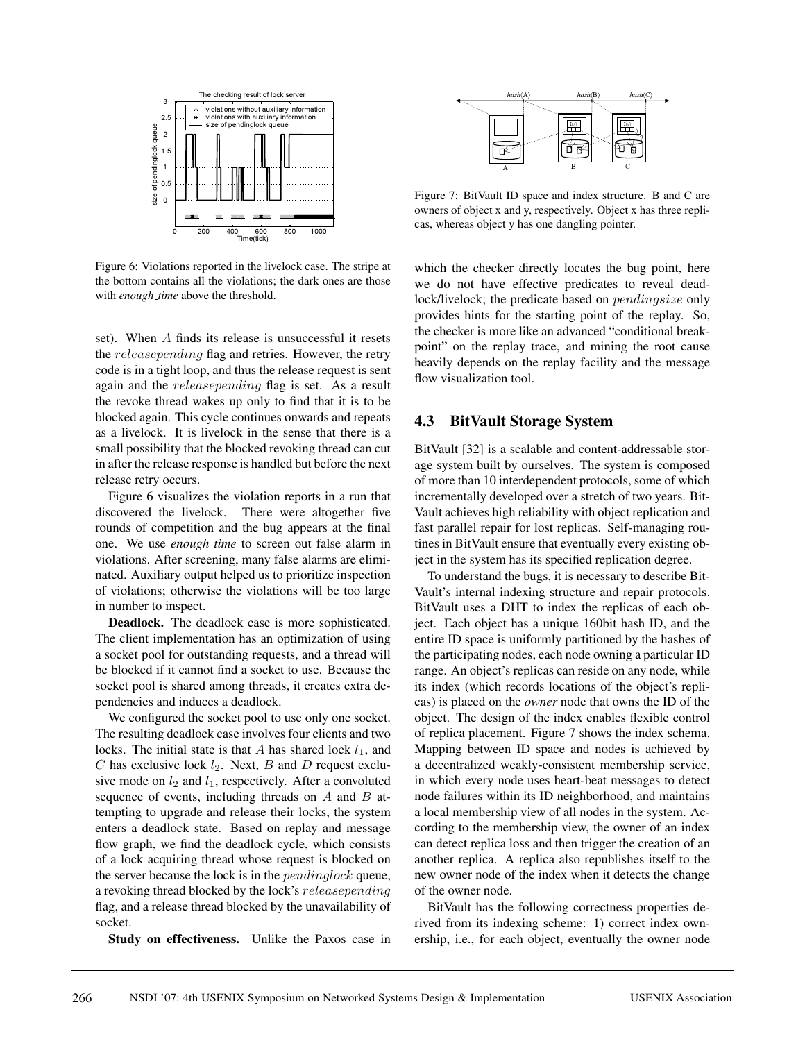

Figure 6: Violations reported in the livelock case. The stripe at the bottom contains all the violations; the dark ones are those with *enough time* above the threshold.

set). When A finds its release is unsuccessful it resets the releasepending flag and retries. However, the retry code is in a tight loop, and thus the release request is sent again and the releasepending flag is set. As a result the revoke thread wakes up only to find that it is to be blocked again. This cycle continues onwards and repeats as a livelock. It is livelock in the sense that there is a small possibility that the blocked revoking thread can cut in after the release response is handled but before the next release retry occurs.

Figure 6 visualizes the violation reports in a run that discovered the livelock. There were altogether five rounds of competition and the bug appears at the final one. We use *enough time* to screen out false alarm in violations. After screening, many false alarms are eliminated. Auxiliary output helped us to prioritize inspection of violations; otherwise the violations will be too large in number to inspect.

**Deadlock.** The deadlock case is more sophisticated. The client implementation has an optimization of using a socket pool for outstanding requests, and a thread will be blocked if it cannot find a socket to use. Because the socket pool is shared among threads, it creates extra dependencies and induces a deadlock.

We configured the socket pool to use only one socket. The resulting deadlock case involves four clients and two locks. The initial state is that A has shared lock  $l_1$ , and C has exclusive lock  $l_2$ . Next, B and D request exclusive mode on  $l_2$  and  $l_1$ , respectively. After a convoluted sequence of events, including threads on  $A$  and  $B$  attempting to upgrade and release their locks, the system enters a deadlock state. Based on replay and message flow graph, we find the deadlock cycle, which consists of a lock acquiring thread whose request is blocked on the server because the lock is in the *pendinglock* queue, a revoking thread blocked by the lock's releasepending flag, and a release thread blocked by the unavailability of socket.

**Study on effectiveness.** Unlike the Paxos case in



Figure 7: BitVault ID space and index structure. B and C are owners of object x and y, respectively. Object x has three replicas, whereas object y has one dangling pointer.

which the checker directly locates the bug point, here we do not have effective predicates to reveal deadlock/livelock; the predicate based on pendingsize only provides hints for the starting point of the replay. So, the checker is more like an advanced "conditional breakpoint" on the replay trace, and mining the root cause heavily depends on the replay facility and the message flow visualization tool.

### **4.3 BitVault Storage System**

BitVault [32] is a scalable and content-addressable storage system built by ourselves. The system is composed of more than 10 interdependent protocols, some of which incrementally developed over a stretch of two years. Bit-Vault achieves high reliability with object replication and fast parallel repair for lost replicas. Self-managing routines in BitVault ensure that eventually every existing object in the system has its specified replication degree.

To understand the bugs, it is necessary to describe Bit-Vault's internal indexing structure and repair protocols. BitVault uses a DHT to index the replicas of each object. Each object has a unique 160bit hash ID, and the entire ID space is uniformly partitioned by the hashes of the participating nodes, each node owning a particular ID range. An object's replicas can reside on any node, while its index (which records locations of the object's replicas) is placed on the *owner* node that owns the ID of the object. The design of the index enables flexible control of replica placement. Figure 7 shows the index schema. Mapping between ID space and nodes is achieved by a decentralized weakly-consistent membership service, in which every node uses heart-beat messages to detect node failures within its ID neighborhood, and maintains a local membership view of all nodes in the system. According to the membership view, the owner of an index can detect replica loss and then trigger the creation of an another replica. A replica also republishes itself to the new owner node of the index when it detects the change of the owner node.

BitVault has the following correctness properties derived from its indexing scheme: 1) correct index ownership, i.e., for each object, eventually the owner node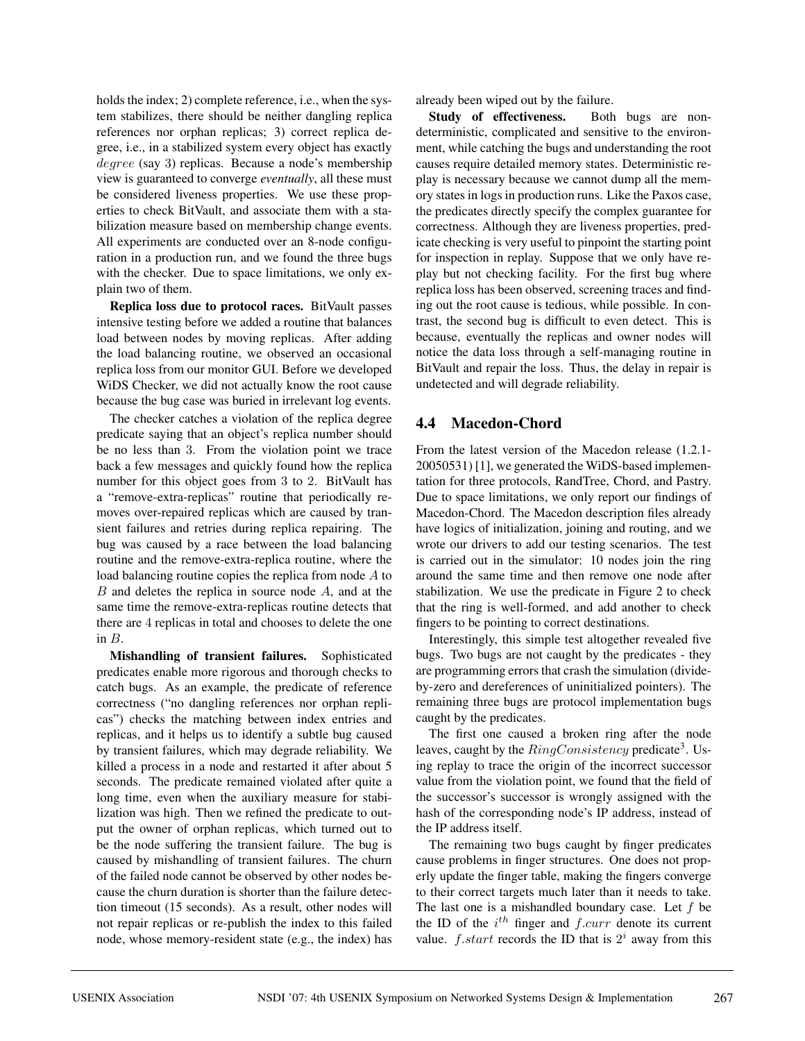holds the index; 2) complete reference, i.e., when the system stabilizes, there should be neither dangling replica references nor orphan replicas; 3) correct replica degree, i.e., in a stabilized system every object has exactly degree (say 3) replicas. Because a node's membership view is guaranteed to converge *eventually*, all these must be considered liveness properties. We use these properties to check BitVault, and associate them with a stabilization measure based on membership change events. All experiments are conducted over an 8-node configuration in a production run, and we found the three bugs with the checker. Due to space limitations, we only explain two of them.

**Replica loss due to protocol races.** BitVault passes intensive testing before we added a routine that balances load between nodes by moving replicas. After adding the load balancing routine, we observed an occasional replica loss from our monitor GUI. Before we developed WiDS Checker, we did not actually know the root cause because the bug case was buried in irrelevant log events.

The checker catches a violation of the replica degree predicate saying that an object's replica number should be no less than 3. From the violation point we trace back a few messages and quickly found how the replica number for this object goes from 3 to 2. BitVault has a "remove-extra-replicas" routine that periodically removes over-repaired replicas which are caused by transient failures and retries during replica repairing. The bug was caused by a race between the load balancing routine and the remove-extra-replica routine, where the load balancing routine copies the replica from node A to  $B$  and deletes the replica in source node  $A$ , and at the same time the remove-extra-replicas routine detects that there are 4 replicas in total and chooses to delete the one in B.

**Mishandling of transient failures.** Sophisticated predicates enable more rigorous and thorough checks to catch bugs. As an example, the predicate of reference correctness ("no dangling references nor orphan replicas") checks the matching between index entries and replicas, and it helps us to identify a subtle bug caused by transient failures, which may degrade reliability. We killed a process in a node and restarted it after about 5 seconds. The predicate remained violated after quite a long time, even when the auxiliary measure for stabilization was high. Then we refined the predicate to output the owner of orphan replicas, which turned out to be the node suffering the transient failure. The bug is caused by mishandling of transient failures. The churn of the failed node cannot be observed by other nodes because the churn duration is shorter than the failure detection timeout (15 seconds). As a result, other nodes will not repair replicas or re-publish the index to this failed node, whose memory-resident state (e.g., the index) has

already been wiped out by the failure.

**Study of effectiveness.** Both bugs are nondeterministic, complicated and sensitive to the environment, while catching the bugs and understanding the root causes require detailed memory states. Deterministic replay is necessary because we cannot dump all the memory states in logs in production runs. Like the Paxos case, the predicates directly specify the complex guarantee for correctness. Although they are liveness properties, predicate checking is very useful to pinpoint the starting point for inspection in replay. Suppose that we only have replay but not checking facility. For the first bug where replica loss has been observed, screening traces and finding out the root cause is tedious, while possible. In contrast, the second bug is difficult to even detect. This is because, eventually the replicas and owner nodes will notice the data loss through a self-managing routine in BitVault and repair the loss. Thus, the delay in repair is undetected and will degrade reliability.

## **4.4 Macedon-Chord**

From the latest version of the Macedon release (1.2.1- 20050531) [1], we generated the WiDS-based implementation for three protocols, RandTree, Chord, and Pastry. Due to space limitations, we only report our findings of Macedon-Chord. The Macedon description files already have logics of initialization, joining and routing, and we wrote our drivers to add our testing scenarios. The test is carried out in the simulator: 10 nodes join the ring around the same time and then remove one node after stabilization. We use the predicate in Figure 2 to check that the ring is well-formed, and add another to check fingers to be pointing to correct destinations.

Interestingly, this simple test altogether revealed five bugs. Two bugs are not caught by the predicates - they are programming errors that crash the simulation (divideby-zero and dereferences of uninitialized pointers). The remaining three bugs are protocol implementation bugs caught by the predicates.

The first one caused a broken ring after the node leaves, caught by the  $RingConsistency$  predicate<sup>3</sup>. Using replay to trace the origin of the incorrect successor value from the violation point, we found that the field of the successor's successor is wrongly assigned with the hash of the corresponding node's IP address, instead of the IP address itself.

The remaining two bugs caught by finger predicates cause problems in finger structures. One does not properly update the finger table, making the fingers converge to their correct targets much later than it needs to take. The last one is a mishandled boundary case. Let  $f$  be the ID of the  $i^{th}$  finger and  $f.curr$  denote its current value. *f.start* records the ID that is  $2^i$  away from this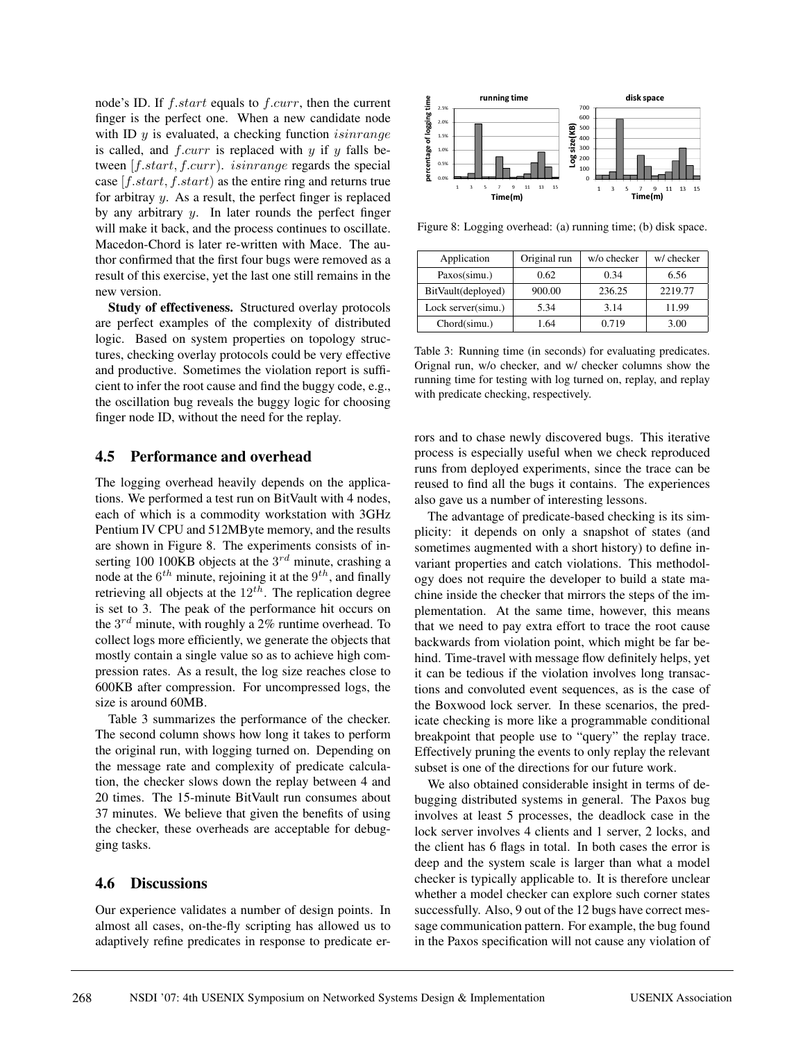node's ID. If  $f.start$  equals to  $f.curr$ , then the current finger is the perfect one. When a new candidate node with ID  $y$  is evaluated, a checking function *isinrange* is called, and  $f.curr$  is replaced with  $y$  if  $y$  falls between [f.start, f.curr). isinrange regards the special case  $[f.start, f.start)$  as the entire ring and returns true for arbitray  $y$ . As a result, the perfect finger is replaced by any arbitrary  $y$ . In later rounds the perfect finger will make it back, and the process continues to oscillate. Macedon-Chord is later re-written with Mace. The author confirmed that the first four bugs were removed as a result of this exercise, yet the last one still remains in the new version.

**Study of effectiveness.** Structured overlay protocols are perfect examples of the complexity of distributed logic. Based on system properties on topology structures, checking overlay protocols could be very effective and productive. Sometimes the violation report is sufficient to infer the root cause and find the buggy code, e.g., the oscillation bug reveals the buggy logic for choosing finger node ID, without the need for the replay.

### **4.5 Performance and overhead**

The logging overhead heavily depends on the applications. We performed a test run on BitVault with 4 nodes, each of which is a commodity workstation with 3GHz Pentium IV CPU and 512MByte memory, and the results are shown in Figure 8. The experiments consists of inserting 100 100KB objects at the  $3^{rd}$  minute, crashing a node at the  $6^{th}$  minute, rejoining it at the  $9^{th}$ , and finally retrieving all objects at the  $12^{th}$ . The replication degree is set to 3. The peak of the performance hit occurs on the  $3^{rd}$  minute, with roughly a 2% runtime overhead. To collect logs more efficiently, we generate the objects that mostly contain a single value so as to achieve high compression rates. As a result, the log size reaches close to 600KB after compression. For uncompressed logs, the size is around 60MB.

Table 3 summarizes the performance of the checker. The second column shows how long it takes to perform the original run, with logging turned on. Depending on the message rate and complexity of predicate calculation, the checker slows down the replay between 4 and 20 times. The 15-minute BitVault run consumes about 37 minutes. We believe that given the benefits of using the checker, these overheads are acceptable for debugging tasks.

### **4.6 Discussions**

Our experience validates a number of design points. In almost all cases, on-the-fly scripting has allowed us to adaptively refine predicates in response to predicate er-



Figure 8: Logging overhead: (a) running time; (b) disk space.

| Application        | Original run | w/o checker | w/ checker |
|--------------------|--------------|-------------|------------|
| Paxos(simu.)       | 0.62         | 0.34        | 6.56       |
| BitVault(deployed) | 900.00       | 236.25      | 2219.77    |
| Lock server(simu.) | 5.34         | 3.14        | 11.99      |
| Chord(simu.)       | 64. ا        | 0.719       | 3.00       |

Table 3: Running time (in seconds) for evaluating predicates. Orignal run, w/o checker, and w/ checker columns show the running time for testing with log turned on, replay, and replay with predicate checking, respectively.

rors and to chase newly discovered bugs. This iterative process is especially useful when we check reproduced runs from deployed experiments, since the trace can be reused to find all the bugs it contains. The experiences also gave us a number of interesting lessons.

The advantage of predicate-based checking is its simplicity: it depends on only a snapshot of states (and sometimes augmented with a short history) to define invariant properties and catch violations. This methodology does not require the developer to build a state machine inside the checker that mirrors the steps of the implementation. At the same time, however, this means that we need to pay extra effort to trace the root cause backwards from violation point, which might be far behind. Time-travel with message flow definitely helps, yet it can be tedious if the violation involves long transactions and convoluted event sequences, as is the case of the Boxwood lock server. In these scenarios, the predicate checking is more like a programmable conditional breakpoint that people use to "query" the replay trace. Effectively pruning the events to only replay the relevant subset is one of the directions for our future work.

We also obtained considerable insight in terms of debugging distributed systems in general. The Paxos bug involves at least 5 processes, the deadlock case in the lock server involves 4 clients and 1 server, 2 locks, and the client has 6 flags in total. In both cases the error is deep and the system scale is larger than what a model checker is typically applicable to. It is therefore unclear whether a model checker can explore such corner states successfully. Also, 9 out of the 12 bugs have correct message communication pattern. For example, the bug found in the Paxos specification will not cause any violation of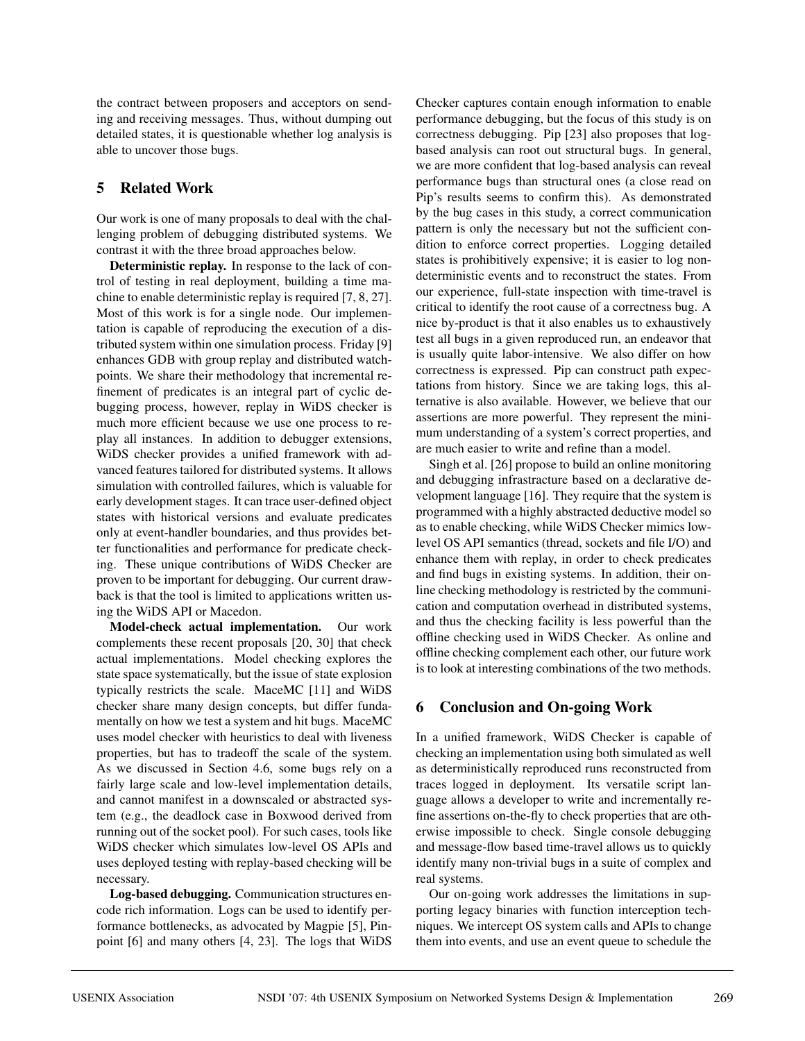the contract between proposers and acceptors on sending and receiving messages. Thus, without dumping out detailed states, it is questionable whether log analysis is able to uncover those bugs.

## **5 Related Work**

Our work is one of many proposals to deal with the challenging problem of debugging distributed systems. We contrast it with the three broad approaches below.

**Deterministic replay.** In response to the lack of control of testing in real deployment, building a time machine to enable deterministic replay is required [7, 8, 27]. Most of this work is for a single node. Our implementation is capable of reproducing the execution of a distributed system within one simulation process. Friday [9] enhances GDB with group replay and distributed watchpoints. We share their methodology that incremental refinement of predicates is an integral part of cyclic debugging process, however, replay in WiDS checker is much more efficient because we use one process to replay all instances. In addition to debugger extensions, WiDS checker provides a unified framework with advanced features tailored for distributed systems. It allows simulation with controlled failures, which is valuable for early development stages. It can trace user-defined object states with historical versions and evaluate predicates only at event-handler boundaries, and thus provides better functionalities and performance for predicate checking. These unique contributions of WiDS Checker are proven to be important for debugging. Our current drawback is that the tool is limited to applications written using the WiDS API or Macedon.

**Model-check actual implementation.** Our work complements these recent proposals [20, 30] that check actual implementations. Model checking explores the state space systematically, but the issue of state explosion typically restricts the scale. MaceMC [11] and WiDS checker share many design concepts, but differ fundamentally on how we test a system and hit bugs. MaceMC uses model checker with heuristics to deal with liveness properties, but has to tradeoff the scale of the system. As we discussed in Section 4.6, some bugs rely on a fairly large scale and low-level implementation details, and cannot manifest in a downscaled or abstracted system (e.g., the deadlock case in Boxwood derived from running out of the socket pool). For such cases, tools like WiDS checker which simulates low-level OS APIs and uses deployed testing with replay-based checking will be necessary.

**Log-based debugging.** Communication structures encode rich information. Logs can be used to identify performance bottlenecks, as advocated by Magpie [5], Pinpoint [6] and many others [4, 23]. The logs that WiDS Checker captures contain enough information to enable performance debugging, but the focus of this study is on correctness debugging. Pip [23] also proposes that logbased analysis can root out structural bugs. In general, we are more confident that log-based analysis can reveal performance bugs than structural ones (a close read on Pip's results seems to confirm this). As demonstrated by the bug cases in this study, a correct communication pattern is only the necessary but not the sufficient condition to enforce correct properties. Logging detailed states is prohibitively expensive; it is easier to log nondeterministic events and to reconstruct the states. From our experience, full-state inspection with time-travel is critical to identify the root cause of a correctness bug. A nice by-product is that it also enables us to exhaustively test all bugs in a given reproduced run, an endeavor that is usually quite labor-intensive. We also differ on how correctness is expressed. Pip can construct path expectations from history. Since we are taking logs, this alternative is also available. However, we believe that our assertions are more powerful. They represent the minimum understanding of a system's correct properties, and are much easier to write and refine than a model.

Singh et al. [26] propose to build an online monitoring and debugging infrastracture based on a declarative development language [16]. They require that the system is programmed with a highly abstracted deductive model so as to enable checking, while WiDS Checker mimics lowlevel OS API semantics (thread, sockets and file I/O) and enhance them with replay, in order to check predicates and find bugs in existing systems. In addition, their online checking methodology is restricted by the communication and computation overhead in distributed systems, and thus the checking facility is less powerful than the offline checking used in WiDS Checker. As online and offline checking complement each other, our future work is to look at interesting combinations of the two methods.

### **6 Conclusion and On-going Work**

In a unified framework, WiDS Checker is capable of checking an implementation using both simulated as well as deterministically reproduced runs reconstructed from traces logged in deployment. Its versatile script language allows a developer to write and incrementally refine assertions on-the-fly to check properties that are otherwise impossible to check. Single console debugging and message-flow based time-travel allows us to quickly identify many non-trivial bugs in a suite of complex and real systems.

Our on-going work addresses the limitations in supporting legacy binaries with function interception techniques. We intercept OS system calls and APIs to change them into events, and use an event queue to schedule the